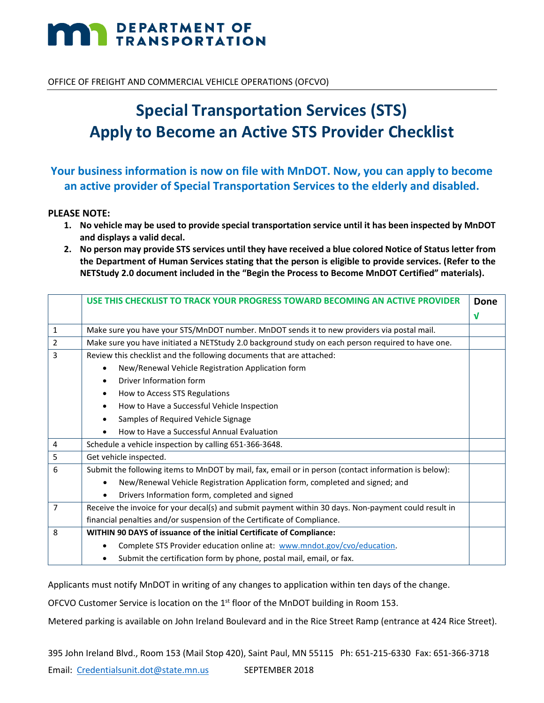# **DEPARTMENT OF TRANSPORTATION**

OFFICE OF FREIGHT AND COMMERCIAL VEHICLE OPERATIONS (OFCVO)

# **Special Transportation Services (STS) Apply to Become an Active STS Provider Checklist**

# **Your business information is now on file with MnDOT. Now, you can apply to become an active provider of Special Transportation Services to the elderly and disabled.**

#### **PLEASE NOTE:**

- **1. No vehicle may be used to provide special transportation service until it has been inspected by MnDOT and displays a valid decal.**
- **2. No person may provide STS services until they have received a blue colored Notice of Status letter from the Department of Human Services stating that the person is eligible to provide services. (Refer to the NETStudy 2.0 document included in the "Begin the Process to Become MnDOT Certified" materials).**

|                | USE THIS CHECKLIST TO TRACK YOUR PROGRESS TOWARD BECOMING AN ACTIVE PROVIDER                         | Done       |
|----------------|------------------------------------------------------------------------------------------------------|------------|
|                |                                                                                                      | $\sqrt{ }$ |
| $\mathbf{1}$   | Make sure you have your STS/MnDOT number. MnDOT sends it to new providers via postal mail.           |            |
| 2              | Make sure you have initiated a NETStudy 2.0 background study on each person required to have one.    |            |
| 3              | Review this checklist and the following documents that are attached:                                 |            |
|                | New/Renewal Vehicle Registration Application form<br>$\bullet$                                       |            |
|                | Driver Information form<br>$\bullet$                                                                 |            |
|                | How to Access STS Regulations<br>٠                                                                   |            |
|                | How to Have a Successful Vehicle Inspection<br>$\bullet$                                             |            |
|                | Samples of Required Vehicle Signage<br>$\bullet$                                                     |            |
|                | How to Have a Successful Annual Evaluation                                                           |            |
| $\overline{4}$ | Schedule a vehicle inspection by calling 651-366-3648.                                               |            |
| 5              | Get vehicle inspected.                                                                               |            |
| 6              | Submit the following items to MnDOT by mail, fax, email or in person (contact information is below): |            |
|                | New/Renewal Vehicle Registration Application form, completed and signed; and<br>$\bullet$            |            |
|                | Drivers Information form, completed and signed                                                       |            |
| 7              | Receive the invoice for your decal(s) and submit payment within 30 days. Non-payment could result in |            |
|                | financial penalties and/or suspension of the Certificate of Compliance.                              |            |
| 8              | WITHIN 90 DAYS of issuance of the initial Certificate of Compliance:                                 |            |
|                | Complete STS Provider education online at: www.mndot.gov/cvo/education.                              |            |
|                | Submit the certification form by phone, postal mail, email, or fax.<br>$\bullet$                     |            |

Applicants must notify MnDOT in writing of any changes to application within ten days of the change.

OFCVO Customer Service is location on the 1<sup>st</sup> floor of the MnDOT building in Room 153.

Metered parking is available on John Ireland Boulevard and in the Rice Street Ramp (entrance at 424 Rice Street).

395 John Ireland Blvd., Room 153 (Mail Stop 420), Saint Paul, MN 55115 Ph: 651-215-6330 Fax: 651-366-3718 Email: [Credentialsunit.dot@state.mn.us](mailto:Credentialsunit.dot@state.mn.us)  SEPTEMBER 2018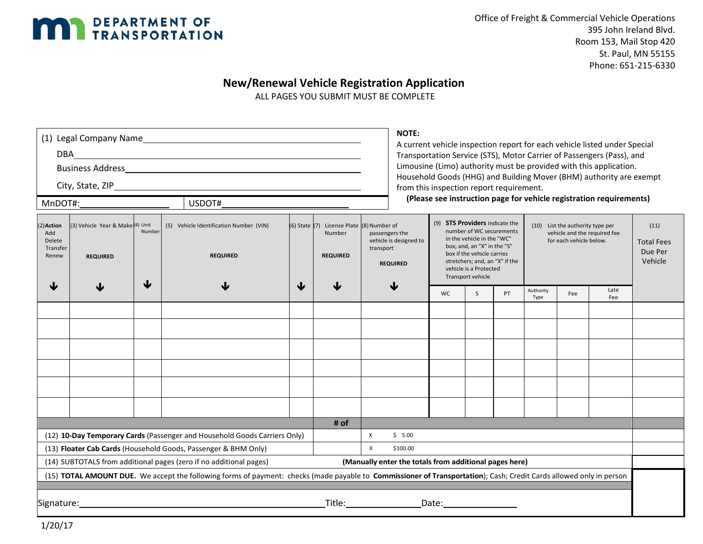

# **New/Renewal Vehicle Registration Application**

ALL PAGES YOU SUBMIT MUST BE COMPLETE

| MnDOT#:<br>USDOT#                                                                                                                                                                                                                                      |                                                     |             |                                                            |   |                                                                        | <b>NOTE:</b><br>from this inspection report requirement. |                                                             |                                                                                                                                                                                                                                                                                                                                              |    |    |                                                 | A current vehicle inspection report for each vehicle listed under Special<br>Transportation Service (STS), Motor Carrier of Passengers (Pass), and<br>Limousine (Limo) authority must be provided with this application.<br>Household Goods (HHG) and Building Mover (BHM) authority are exempt<br>(Please see instruction page for vehicle registration requirements) |             |  |
|--------------------------------------------------------------------------------------------------------------------------------------------------------------------------------------------------------------------------------------------------------|-----------------------------------------------------|-------------|------------------------------------------------------------|---|------------------------------------------------------------------------|----------------------------------------------------------|-------------------------------------------------------------|----------------------------------------------------------------------------------------------------------------------------------------------------------------------------------------------------------------------------------------------------------------------------------------------------------------------------------------------|----|----|-------------------------------------------------|------------------------------------------------------------------------------------------------------------------------------------------------------------------------------------------------------------------------------------------------------------------------------------------------------------------------------------------------------------------------|-------------|--|
| 2) Action<br>Add<br>Delete<br>Transfer<br>Renew                                                                                                                                                                                                        | (3) Vehicle Year & Make (4) Unit<br><b>REQUIRED</b> | Number<br>↓ | (5) Vehicle Identification Number (VIN)<br><b>REQUIRED</b> | ↓ | (6) State (7) License Plate (8) Number of<br>Number<br><b>REQUIRED</b> | transport                                                | passengers the<br>vehicle is designed to<br><b>REQUIRED</b> | (9) <b>STS Providers</b> indicate the<br>(10) List the authority type per<br>number of WC securements<br>vehicle and the required fee<br>in the vehicle in the "WC"<br>for each vehicle below.<br>box; and, an "X" in the "S"<br>box if the vehicle carries<br>stretchers; and, an "X" if the<br>vehicle is a Protected<br>Transport vehicle |    |    | (11)<br><b>Total Fees</b><br>Due Per<br>Vehicle |                                                                                                                                                                                                                                                                                                                                                                        |             |  |
|                                                                                                                                                                                                                                                        |                                                     |             |                                                            |   |                                                                        |                                                          |                                                             | WC.                                                                                                                                                                                                                                                                                                                                          | S. | PT | Authority<br>Type                               | Fee                                                                                                                                                                                                                                                                                                                                                                    | Late<br>Fee |  |
|                                                                                                                                                                                                                                                        |                                                     |             |                                                            |   |                                                                        |                                                          |                                                             |                                                                                                                                                                                                                                                                                                                                              |    |    |                                                 |                                                                                                                                                                                                                                                                                                                                                                        |             |  |
|                                                                                                                                                                                                                                                        |                                                     |             |                                                            |   |                                                                        |                                                          |                                                             |                                                                                                                                                                                                                                                                                                                                              |    |    |                                                 |                                                                                                                                                                                                                                                                                                                                                                        |             |  |
|                                                                                                                                                                                                                                                        |                                                     |             |                                                            |   |                                                                        |                                                          |                                                             |                                                                                                                                                                                                                                                                                                                                              |    |    |                                                 |                                                                                                                                                                                                                                                                                                                                                                        |             |  |
|                                                                                                                                                                                                                                                        |                                                     |             |                                                            |   |                                                                        |                                                          |                                                             |                                                                                                                                                                                                                                                                                                                                              |    |    |                                                 |                                                                                                                                                                                                                                                                                                                                                                        |             |  |
|                                                                                                                                                                                                                                                        |                                                     |             |                                                            |   |                                                                        |                                                          |                                                             |                                                                                                                                                                                                                                                                                                                                              |    |    |                                                 |                                                                                                                                                                                                                                                                                                                                                                        |             |  |
|                                                                                                                                                                                                                                                        |                                                     |             |                                                            |   |                                                                        |                                                          |                                                             |                                                                                                                                                                                                                                                                                                                                              |    |    |                                                 |                                                                                                                                                                                                                                                                                                                                                                        |             |  |
|                                                                                                                                                                                                                                                        |                                                     |             |                                                            |   |                                                                        |                                                          |                                                             |                                                                                                                                                                                                                                                                                                                                              |    |    |                                                 |                                                                                                                                                                                                                                                                                                                                                                        |             |  |
|                                                                                                                                                                                                                                                        |                                                     |             |                                                            |   |                                                                        |                                                          |                                                             |                                                                                                                                                                                                                                                                                                                                              |    |    |                                                 |                                                                                                                                                                                                                                                                                                                                                                        |             |  |
|                                                                                                                                                                                                                                                        |                                                     |             |                                                            |   | # of                                                                   | X                                                        | \$5.00                                                      |                                                                                                                                                                                                                                                                                                                                              |    |    |                                                 |                                                                                                                                                                                                                                                                                                                                                                        |             |  |
| (12) 10-Day Temporary Cards (Passenger and Household Goods Carriers Only)<br>(13) Floater Cab Cards (Household Goods, Passenger & BHM Only)<br>$\mathsf{x}$<br>\$100.00                                                                                |                                                     |             |                                                            |   |                                                                        |                                                          |                                                             |                                                                                                                                                                                                                                                                                                                                              |    |    |                                                 |                                                                                                                                                                                                                                                                                                                                                                        |             |  |
| (14) SUBTOTALS from additional pages (zero if no additional pages)<br>(Manually enter the totals from additional pages here)                                                                                                                           |                                                     |             |                                                            |   |                                                                        |                                                          |                                                             |                                                                                                                                                                                                                                                                                                                                              |    |    |                                                 |                                                                                                                                                                                                                                                                                                                                                                        |             |  |
| (15) TOTAL AMOUNT DUE. We accept the following forms of payment: checks (made payable to Commissioner of Transportation); Cash; Credit Cards allowed only in person                                                                                    |                                                     |             |                                                            |   |                                                                        |                                                          |                                                             |                                                                                                                                                                                                                                                                                                                                              |    |    |                                                 |                                                                                                                                                                                                                                                                                                                                                                        |             |  |
|                                                                                                                                                                                                                                                        |                                                     |             |                                                            |   |                                                                        |                                                          |                                                             |                                                                                                                                                                                                                                                                                                                                              |    |    |                                                 |                                                                                                                                                                                                                                                                                                                                                                        |             |  |
| Title:<br>Date: the contract of the contract of the contract of the contract of the contract of the contract of the contract of the contract of the contract of the contract of the contract of the contract of the contract of the cont<br>Signature: |                                                     |             |                                                            |   |                                                                        |                                                          |                                                             |                                                                                                                                                                                                                                                                                                                                              |    |    |                                                 |                                                                                                                                                                                                                                                                                                                                                                        |             |  |

1/20/17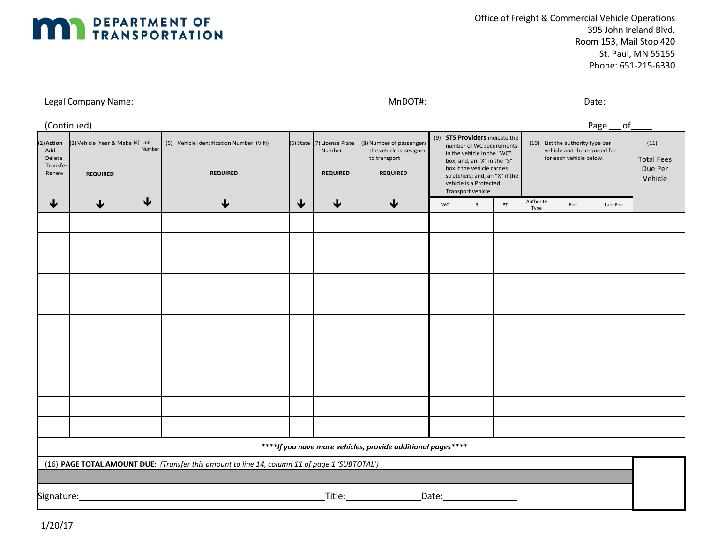

Office of Freight & Commercial Vehicle Operations 395 John Ireland Blvd. Room 153, Mail Stop 420 St. Paul, MN 55155 Phone: 651-215-6330

| Legal<br><b>Name</b><br>company -<br>. . | $- - - -$<br>мır | Date |
|------------------------------------------|------------------|------|
|                                          |                  |      |

| (Continued)                                                                                   |                                                     |                 |                                                            |   |                                                          |                                                                                        |                                                                                                                                                                                                                                        |   |                                                                                             |                   |     | Page __ of                                      |  |
|-----------------------------------------------------------------------------------------------|-----------------------------------------------------|-----------------|------------------------------------------------------------|---|----------------------------------------------------------|----------------------------------------------------------------------------------------|----------------------------------------------------------------------------------------------------------------------------------------------------------------------------------------------------------------------------------------|---|---------------------------------------------------------------------------------------------|-------------------|-----|-------------------------------------------------|--|
| 2) Action<br>Add<br>Delete<br>Transfer<br>Renew                                               | (3) Vehicle Year & Make (4) Unit<br><b>REQUIRED</b> | Number          | (5) Vehicle Identification Number (VIN)<br><b>REQUIRED</b> |   | (6) State (7) License Plate<br>Number<br><b>REQUIRED</b> | (8) Number of passengers<br>the vehicle is designed<br>to transport<br><b>REQUIRED</b> | (9) STS Providers indicate the<br>number of WC securements<br>in the vehicle in the "WC"<br>box; and, an "X" in the "S"<br>box if the vehicle carries<br>stretchers; and, an "X" if the<br>vehicle is a Protected<br>Transport vehicle |   | (10) List the authority type per<br>vehicle and the required fee<br>for each vehicle below. |                   |     | (11)<br><b>Total Fees</b><br>Due Per<br>Vehicle |  |
| ↓                                                                                             | $\bigtriangledown$                                  | $\blacklozenge$ | ↓                                                          | ↓ | $\blacklozenge$                                          | ↓                                                                                      | WC                                                                                                                                                                                                                                     | S | PT                                                                                          | Authority<br>Type | Fee | Late Fee                                        |  |
|                                                                                               |                                                     |                 |                                                            |   |                                                          |                                                                                        |                                                                                                                                                                                                                                        |   |                                                                                             |                   |     |                                                 |  |
|                                                                                               |                                                     |                 |                                                            |   |                                                          |                                                                                        |                                                                                                                                                                                                                                        |   |                                                                                             |                   |     |                                                 |  |
|                                                                                               |                                                     |                 |                                                            |   |                                                          |                                                                                        |                                                                                                                                                                                                                                        |   |                                                                                             |                   |     |                                                 |  |
|                                                                                               |                                                     |                 |                                                            |   |                                                          |                                                                                        |                                                                                                                                                                                                                                        |   |                                                                                             |                   |     |                                                 |  |
|                                                                                               |                                                     |                 |                                                            |   |                                                          |                                                                                        |                                                                                                                                                                                                                                        |   |                                                                                             |                   |     |                                                 |  |
|                                                                                               |                                                     |                 |                                                            |   |                                                          |                                                                                        |                                                                                                                                                                                                                                        |   |                                                                                             |                   |     |                                                 |  |
|                                                                                               |                                                     |                 |                                                            |   |                                                          |                                                                                        |                                                                                                                                                                                                                                        |   |                                                                                             |                   |     |                                                 |  |
|                                                                                               |                                                     |                 |                                                            |   |                                                          |                                                                                        |                                                                                                                                                                                                                                        |   |                                                                                             |                   |     |                                                 |  |
|                                                                                               |                                                     |                 |                                                            |   |                                                          |                                                                                        |                                                                                                                                                                                                                                        |   |                                                                                             |                   |     |                                                 |  |
|                                                                                               |                                                     |                 |                                                            |   |                                                          |                                                                                        |                                                                                                                                                                                                                                        |   |                                                                                             |                   |     |                                                 |  |
|                                                                                               |                                                     |                 |                                                            |   |                                                          |                                                                                        |                                                                                                                                                                                                                                        |   |                                                                                             |                   |     |                                                 |  |
|                                                                                               |                                                     |                 |                                                            |   |                                                          |                                                                                        |                                                                                                                                                                                                                                        |   |                                                                                             |                   |     |                                                 |  |
|                                                                                               |                                                     |                 |                                                            |   |                                                          |                                                                                        |                                                                                                                                                                                                                                        |   |                                                                                             |                   |     |                                                 |  |
|                                                                                               |                                                     |                 |                                                            |   |                                                          |                                                                                        |                                                                                                                                                                                                                                        |   |                                                                                             |                   |     |                                                 |  |
| ****If you nave more vehicles, provide additional pages****                                   |                                                     |                 |                                                            |   |                                                          |                                                                                        |                                                                                                                                                                                                                                        |   |                                                                                             |                   |     |                                                 |  |
| (16) PAGE TOTAL AMOUNT DUE: (Transfer this amount to line 14, column 11 of page 1 'SUBTOTAL') |                                                     |                 |                                                            |   |                                                          |                                                                                        |                                                                                                                                                                                                                                        |   |                                                                                             |                   |     |                                                 |  |
|                                                                                               |                                                     |                 |                                                            |   |                                                          |                                                                                        |                                                                                                                                                                                                                                        |   |                                                                                             |                   |     |                                                 |  |
|                                                                                               |                                                     |                 |                                                            |   |                                                          | $\begin{tabular}{c} Title: \end{tabular}$                                              |                                                                                                                                                                                                                                        |   |                                                                                             |                   |     |                                                 |  |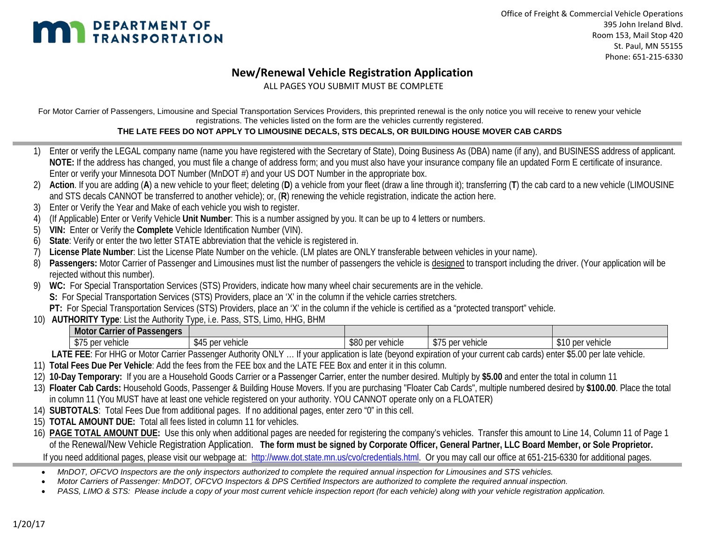

## **New/Renewal Vehicle Registration Application**

ALL PAGES YOU SUBMIT MUST BE COMPLETE

For Motor Carrier of Passengers, Limousine and Special Transportation Services Providers, this preprinted renewal is the only notice you will receive to renew your vehicle registrations. The vehicles listed on the form are the vehicles currently registered.

#### **THE LATE FEES DO NOT APPLY TO LIMOUSINE DECALS, STS DECALS, OR BUILDING HOUSE MOVER CAB CARDS**

- 1) Enter or verify the LEGAL company name (name you have registered with the Secretary of State), Doing Business As (DBA) name (if any), and BUSINESS address of applicant. **NOTE:** If the address has changed, you must file a change of address form; and you must also have your insurance company file an updated Form E certificate of insurance. Enter or verify your Minnesota DOT Number (MnDOT #) and your US DOT Number in the appropriate box.
- 2) **Action**. If you are adding (**A**) a new vehicle to your fleet; deleting (**D**) a vehicle from your fleet (draw a line through it); transferring (**T**) the cab card to a new vehicle (LIMOUSINE and STS decals CANNOT be transferred to another vehicle); or, (**R**) renewing the vehicle registration, indicate the action here.
- 3) Enter or Verify the Year and Make of each vehicle you wish to register.
- 4) (If Applicable) Enter or Verify Vehicle **Unit Number**: This is a number assigned by you. It can be up to 4 letters or numbers.
- 5) **VIN:** Enter or Verify the **Complete** Vehicle Identification Number (VIN).
- 6) **State**: Verify or enter the two letter STATE abbreviation that the vehicle is registered in.
- 7) **License Plate Number**: List the License Plate Number on the vehicle. (LM plates are ONLY transferable between vehicles in your name).
- 8) Passengers: Motor Carrier of Passenger and Limousines must list the number of passengers the vehicle is designed to transport including the driver. (Your application will be rejected without this number).
- WC: For Special Transportation Services (STS) Providers, indicate how many wheel chair securements are in the vehicle.

**S:** For Special Transportation Services (STS) Providers, place an 'X' in the column if the vehicle carries stretchers.

**PT:** For Special Transportation Services (STS) Providers, place an 'X' in the column if the vehicle is certified as a "protected transport" vehicle.

10) **AUTHORITY Type**: List the Authority Type, i.e. Pass, STS, Limo, HHG, BHM

| Motor Carrier of Passengers |                                     |                  |                         |                  |
|-----------------------------|-------------------------------------|------------------|-------------------------|------------------|
| , per vehicle<br><b>ΨΙΨ</b> | \$45 per<br>$n \Delta r$<br>vehicle | \$80 per vehicle | ぐつに<br>\$75 per vehicle | \$10 per vehicle |

LATE FEE: For HHG or Motor Carrier Passenger Authority ONLY ... If your application is late (beyond expiration of your current cab cards) enter \$5.00 per late vehicle.

- 11) **Total Fees Due Per Vehicle**: Add the fees from the FEE box and the LATE FEE Box and enter it in this column.
- 12) **10-Day Temporary:** If you are a Household Goods Carrier or a Passenger Carrier, enter the number desired. Multiply by **\$5.00** and enter the total in column 11
- 13) **Floater Cab Cards:** Household Goods, Passenger & Building House Movers. If you are purchasing "Floater Cab Cards", multiple numbered desired by **\$100.00**. Place the total in column 11 (You MUST have at least one vehicle registered on your authority. YOU CANNOT operate only on a FLOATER)
- 14) **SUBTOTALS**: Total Fees Due from additional pages. If no additional pages, enter zero "0" in this cell.
- 15) **TOTAL AMOUNT DUE:** Total all fees listed in column 11 for vehicles.
- 16) **PAGE TOTAL AMOUNT DUE:** Use this only when additional pages are needed for registering the company's vehicles. Transfer this amount to Line 14, Column 11 of Page 1 of the Renewal/New Vehicle Registration Application. **The form must be signed by Corporate Officer, General Partner, LLC Board Member, or Sole Proprietor.** If you need additional pages, please visit our webpage at: [http://www.dot.state.mn.us/cvo/credentials.html.](http://www.dot.state.mn.us/cvo/credentials.html) Or you may call our office at 651-215-6330 for additional pages.
	- *MnDOT, OFCVO Inspectors are the only inspectors authorized to complete the required annual inspection for Limousines and STS vehicles.*
	- *Motor Carriers of Passenger: MnDOT, OFCVO Inspectors & DPS Certified Inspectors are authorized to complete the required annual inspection.*
	- *PASS, LIMO & STS: Please include a copy of your most current vehicle inspection report (for each vehicle) along with your vehicle registration application.*